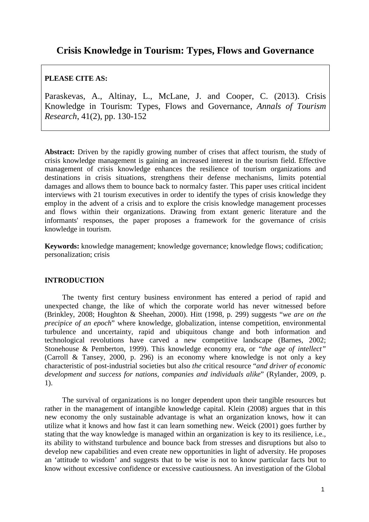# **Crisis Knowledge in Tourism: Types, Flows and Governance**

# **PLEASE CITE AS:**

Paraskevas, A., Altinay, L., McLane, J. and Cooper, C. (2013). Crisis Knowledge in Tourism: Types, Flows and Governance, *Annals of Tourism Research*, 41(2), pp. 130-152

Abstract: Driven by the rapidly growing number of crises that affect tourism, the study of crisis knowledge management is gaining an increased interest in the tourism field. Effective management of crisis knowledge enhances the resilience of tourism organizations and destinations in crisis situations, strengthens their defense mechanisms, limits potential damages and allows them to bounce back to normalcy faster. This paper uses critical incident interviews with 21 tourism executives in order to identify the types of crisis knowledge they employ in the advent of a crisis and to explore the crisis knowledge management processes and flows within their organizations. Drawing from extant generic literature and the informants' responses, the paper proposes a framework for the governance of crisis knowledge in tourism.

**Keywords:** knowledge management; knowledge governance; knowledge flows; codification; personalization; crisis

### **INTRODUCTION**

The twenty first century business environment has entered a period of rapid and unexpected change, the like of which the corporate world has never witnessed before (Brinkley, 2008; Houghton & Sheehan, 2000). Hitt (1998, p. 299) suggests "*we are on the precipice of an epoch*" where knowledge, globalization, intense competition, environmental turbulence and uncertainty, rapid and ubiquitous change and both information and technological revolutions have carved a new competitive landscape (Barnes, 2002; Stonehouse & Pemberton, 1999). This knowledge economy era, or "*the age of intellect"*  (Carroll & Tansey, 2000, p. 296) is an economy where knowledge is not only a key characteristic of post-industrial societies but also *the* critical resource "*and driver of economic development and success for nations, companies and individuals alike*" (Rylander, 2009, p. 1).

The survival of organizations is no longer dependent upon their tangible resources but rather in the management of intangible knowledge capital. Klein (2008) argues that in this new economy the only sustainable advantage is what an organization knows, how it can utilize what it knows and how fast it can learn something new. Weick (2001) goes further by stating that the way knowledge is managed within an organization is key to its resilience, i.e., its ability to withstand turbulence and bounce back from stresses and disruptions but also to develop new capabilities and even create new opportunities in light of adversity. He proposes an 'attitude to wisdom' and suggests that to be wise is not to know particular facts but to know without excessive confidence or excessive cautiousness. An investigation of the Global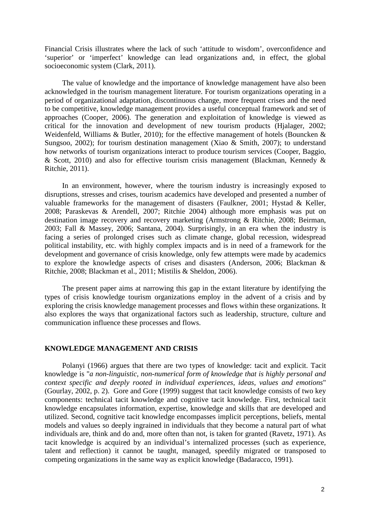Financial Crisis illustrates where the lack of such 'attitude to wisdom', overconfidence and 'superior' or 'imperfect' knowledge can lead organizations and, in effect, the global socioeconomic system (Clark, 2011).

The value of knowledge and the importance of knowledge management have also been acknowledged in the tourism management literature. For tourism organizations operating in a period of organizational adaptation, discontinuous change, more frequent crises and the need to be competitive, knowledge management provides a useful conceptual framework and set of approaches (Cooper, 2006). The generation and exploitation of knowledge is viewed as critical for the innovation and development of new tourism products (Hjalager, 2002; Weidenfeld, Williams & Butler, 2010); for the effective management of hotels (Bouncken & Sungsoo, 2002); for tourism destination management (Xiao & Smith, 2007); to understand how networks of tourism organizations interact to produce tourism services (Cooper, Baggio, & Scott, 2010) and also for effective tourism crisis management (Blackman, Kennedy & Ritchie, 2011).

In an environment, however, where the tourism industry is increasingly exposed to disruptions, stresses and crises, tourism academics have developed and presented a number of valuable frameworks for the management of disasters (Faulkner, 2001; Hystad & Keller, 2008; Paraskevas & Arendell, 2007; Ritchie 2004) although more emphasis was put on destination image recovery and recovery marketing (Armstrong & Ritchie, 2008; Beirman, 2003; Fall & Massey, 2006; Santana, 2004). Surprisingly, in an era when the industry is facing a series of prolonged crises such as climate change, global recession, widespread political instability, etc. with highly complex impacts and is in need of a framework for the development and governance of crisis knowledge, only few attempts were made by academics to explore the knowledge aspects of crises and disasters (Anderson, 2006; Blackman & Ritchie, 2008; Blackman et al., 2011; Mistilis & Sheldon, 2006).

The present paper aims at narrowing this gap in the extant literature by identifying the types of crisis knowledge tourism organizations employ in the advent of a crisis and by exploring the crisis knowledge management processes and flows within these organizations. It also explores the ways that organizational factors such as leadership, structure, culture and communication influence these processes and flows.

#### **KNOWLEDGE MANAGEMENT AND CRISIS**

Polanyi (1966) argues that there are two types of knowledge: tacit and explicit. Tacit knowledge is "*a non-linguistic, non-numerical form of knowledge that is highly personal and context specific and deeply rooted in individual experiences, ideas, values and emotions*" (Gourlay, 2002, p. 2). Gore and Gore (1999) suggest that tacit knowledge consists of two key components: technical tacit knowledge and cognitive tacit knowledge. First, technical tacit knowledge encapsulates information, expertise, knowledge and skills that are developed and utilized. Second, cognitive tacit knowledge encompasses implicit perceptions, beliefs, mental models and values so deeply ingrained in individuals that they become a natural part of what individuals are, think and do and, more often than not, is taken for granted (Ravetz, 1971). As tacit knowledge is acquired by an individual's internalized processes (such as experience, talent and reflection) it cannot be taught, managed, speedily migrated or transposed to competing organizations in the same way as explicit knowledge (Badaracco, 1991).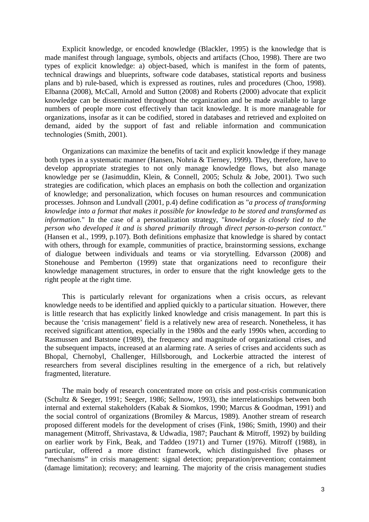Explicit knowledge, or encoded knowledge (Blackler, 1995) is the knowledge that is made manifest through language, symbols, objects and artifacts (Choo, 1998). There are two types of explicit knowledge: a) object-based, which is manifest in the form of patents, technical drawings and blueprints, software code databases, statistical reports and business plans and b) rule-based, which is expressed as routines, rules and procedures (Choo, 1998). Elbanna (2008), McCall, Arnold and Sutton (2008) and Roberts (2000) advocate that explicit knowledge can be disseminated throughout the organization and be made available to large numbers of people more cost effectively than tacit knowledge. It is more manageable for organizations, insofar as it can be codified, stored in databases and retrieved and exploited on demand, aided by the support of fast and reliable information and communication technologies (Smith, 2001).

Organizations can maximize the benefits of tacit and explicit knowledge if they manage both types in a systematic manner (Hansen, Nohria & Tierney, 1999). They, therefore, have to develop appropriate strategies to not only manage knowledge flows, but also manage knowledge per se (Jasimuddin, Klein, & Connell, 2005; Schulz & Jobe, 2001). Two such strategies are codification, which places an emphasis on both the collection and organization of knowledge; and personalization, which focuses on human resources and communication processes. Johnson and Lundvall (2001, p.4) define codification as "*a process of transforming knowledge into a format that makes it possible for knowledge to be stored and transformed as information.*" In the case of a personalization strategy, "*knowledge is closely tied to the person who developed it and is shared primarily through direct person-to-person contact.*" (Hansen et al., 1999, p.107). Both definitions emphasize that knowledge is shared by contact with others, through for example, communities of practice, brainstorming sessions, exchange of dialogue between individuals and teams or via storytelling. Edvarsson (2008) and Stonehouse and Pemberton (1999) state that organizations need to reconfigure their knowledge management structures, in order to ensure that the right knowledge gets to the right people at the right time.

This is particularly relevant for organizations when a crisis occurs, as relevant knowledge needs to be identified and applied quickly to a particular situation. However, there is little research that has explicitly linked knowledge and crisis management. In part this is because the 'crisis management' field is a relatively new area of research. Nonetheless, it has received significant attention, especially in the 1980s and the early 1990s when, according to Rasmussen and Batstone (1989), the frequency and magnitude of organizational crises, and the subsequent impacts, increased at an alarming rate. A series of crises and accidents such as Bhopal, Chernobyl, Challenger, Hillsborough, and Lockerbie attracted the interest of researchers from several disciplines resulting in the emergence of a rich, but relatively fragmented, literature.

The main body of research concentrated more on crisis and post-crisis communication (Schultz & Seeger, 1991; Seeger, 1986; Sellnow, 1993), the interrelationships between both internal and external stakeholders (Kabak & Siomkos, 1990; Marcus & Goodman, 1991) and the social control of organizations (Bromiley & Marcus, 1989). Another stream of research proposed different models for the development of crises (Fink, 1986; Smith, 1990) and their management (Mitroff, Shrivastava, & Udwadia, 1987; Pauchant & Mitroff, 1992) by building on earlier work by Fink, Beak, and Taddeo (1971) and Turner (1976). Mitroff (1988), in particular, offered a more distinct framework, which distinguished five phases or "mechanisms" in crisis management: signal detection; preparation/prevention; containment (damage limitation); recovery; and learning. The majority of the crisis management studies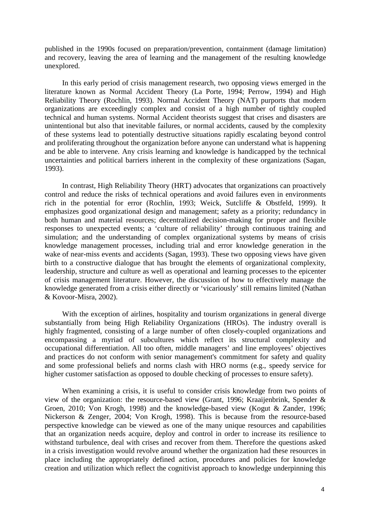published in the 1990s focused on preparation/prevention, containment (damage limitation) and recovery, leaving the area of learning and the management of the resulting knowledge unexplored.

In this early period of crisis management research, two opposing views emerged in the literature known as Normal Accident Theory (La Porte, 1994; Perrow, 1994) and High Reliability Theory (Rochlin, 1993). Normal Accident Theory (NAT) purports that modern organizations are exceedingly complex and consist of a high number of tightly coupled technical and human systems. Normal Accident theorists suggest that crises and disasters are unintentional but also that inevitable failures, or normal accidents, caused by the complexity of these systems lead to potentially destructive situations rapidly escalating beyond control and proliferating throughout the organization before anyone can understand what is happening and be able to intervene. Any crisis learning and knowledge is handicapped by the technical uncertainties and political barriers inherent in the complexity of these organizations (Sagan, 1993).

In contrast, High Reliability Theory (HRT) advocates that organizations can proactively control and reduce the risks of technical operations and avoid failures even in environments rich in the potential for error (Rochlin, 1993; Weick, Sutcliffe & Obstfeld, 1999). It emphasizes good organizational design and management; safety as a priority; redundancy in both human and material resources; decentralized decision-making for proper and flexible responses to unexpected events; a 'culture of reliability' through continuous training and simulation; and the understanding of complex organizational systems by means of crisis knowledge management processes, including trial and error knowledge generation in the wake of near-miss events and accidents (Sagan, 1993). These two opposing views have given birth to a constructive dialogue that has brought the elements of organizational complexity, leadership, structure and culture as well as operational and learning processes to the epicenter of crisis management literature. However, the discussion of how to effectively manage the knowledge generated from a crisis either directly or 'vicariously' still remains limited (Nathan & Kovoor-Misra, 2002).

With the exception of airlines, hospitality and tourism organizations in general diverge substantially from being High Reliability Organizations (HROs). The industry overall is highly fragmented, consisting of a large number of often closely-coupled organizations and encompassing a myriad of subcultures which reflect its structural complexity and occupational differentiation. All too often, middle managers' and line employees' objectives and practices do not conform with senior management's commitment for safety and quality and some professional beliefs and norms clash with HRO norms (e.g., speedy service for higher customer satisfaction as opposed to double checking of processes to ensure safety).

When examining a crisis, it is useful to consider crisis knowledge from two points of view of the organization: the resource-based view (Grant, 1996; Kraaijenbrink, Spender & Groen, 2010; Von Krogh, 1998) and the knowledge-based view (Kogut & Zander, 1996; Nickerson & Zenger, 2004; Von Krogh, 1998). This is because from the resource-based perspective knowledge can be viewed as one of the many unique resources and capabilities that an organization needs acquire, deploy and control in order to increase its resilience to withstand turbulence, deal with crises and recover from them. Therefore the questions asked in a crisis investigation would revolve around whether the organization had these resources in place including the appropriately defined action, procedures and policies for knowledge creation and utilization which reflect the cognitivist approach to knowledge underpinning this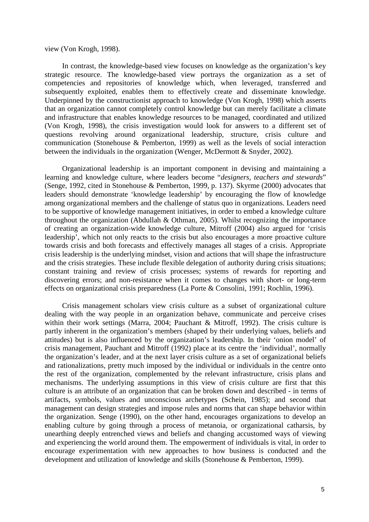#### view (Von Krogh, 1998).

In contrast, the knowledge-based view focuses on knowledge as the organization's key strategic resource. The knowledge-based view portrays the organization as a set of competencies and repositories of knowledge which, when leveraged, transferred and subsequently exploited, enables them to effectively create and disseminate knowledge. Underpinned by the constructionist approach to knowledge (Von Krogh, 1998) which asserts that an organization cannot completely control knowledge but can merely facilitate a climate and infrastructure that enables knowledge resources to be managed, coordinated and utilized (Von Krogh, 1998), the crisis investigation would look for answers to a different set of questions revolving around organizational leadership, structure, crisis culture and communication (Stonehouse & Pemberton, 1999) as well as the levels of social interaction between the individuals in the organization (Wenger, McDermott & Snyder, 2002).

Organizational leadership is an important component in devising and maintaining a learning and knowledge culture, where leaders become "*designers, teachers and stewards*" (Senge, 1992, cited in Stonehouse & Pemberton, 1999, p. 137). Skyrme (2000) advocates that leaders should demonstrate 'knowledge leadership' by encouraging the flow of knowledge among organizational members and the challenge of status quo in organizations. Leaders need to be supportive of knowledge management initiatives, in order to embed a knowledge culture throughout the organization (Abdullah & Othman, 2005). Whilst recognizing the importance of creating an organization-wide knowledge culture, Mitroff (2004) also argued for 'crisis leadership', which not only reacts to the crisis but also encourages a more proactive culture towards crisis and both forecasts and effectively manages all stages of a crisis. Appropriate crisis leadership is the underlying mindset, vision and actions that will shape the infrastructure and the crisis strategies. These include flexible delegation of authority during crisis situations; constant training and review of crisis processes; systems of rewards for reporting and discovering errors; and non-resistance when it comes to changes with short- or long-term effects on organizational crisis preparedness (La Porte & Consolini, 1991; Rochlin, 1996).

Crisis management scholars view crisis culture as a subset of organizational culture dealing with the way people in an organization behave, communicate and perceive crises within their work settings (Marra, 2004; Pauchant & Mitroff, 1992). The crisis culture is partly inherent in the organization's members (shaped by their underlying values, beliefs and attitudes) but is also influenced by the organization's leadership. In their 'onion model' of crisis management, Pauchant and Mitroff (1992) place at its centre the 'individual', normally the organization's leader, and at the next layer crisis culture as a set of organizational beliefs and rationalizations, pretty much imposed by the individual or individuals in the centre onto the rest of the organization, complemented by the relevant infrastructure, crisis plans and mechanisms. The underlying assumptions in this view of crisis culture are first that this culture is an attribute of an organization that can be broken down and described - in terms of artifacts, symbols, values and unconscious archetypes (Schein, 1985); and second that management can design strategies and impose rules and norms that can shape behavior within the organization. Senge (1990), on the other hand, encourages organizations to develop an enabling culture by going through a process of metanoia, or organizational catharsis, by unearthing deeply entrenched views and beliefs and changing accustomed ways of viewing and experiencing the world around them. The empowerment of individuals is vital, in order to encourage experimentation with new approaches to how business is conducted and the development and utilization of knowledge and skills (Stonehouse & Pemberton, 1999).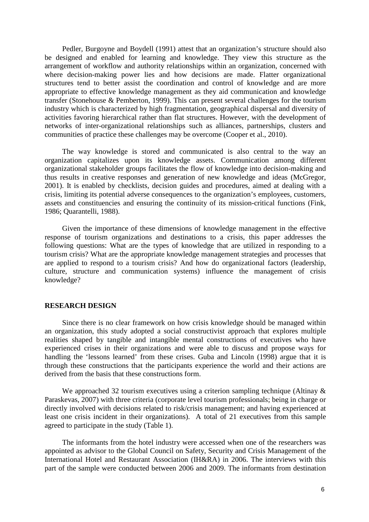Pedler, Burgoyne and Boydell (1991) attest that an organization's structure should also be designed and enabled for learning and knowledge. They view this structure as the arrangement of workflow and authority relationships within an organization, concerned with where decision-making power lies and how decisions are made. Flatter organizational structures tend to better assist the coordination and control of knowledge and are more appropriate to effective knowledge management as they aid communication and knowledge transfer (Stonehouse & Pemberton, 1999). This can present several challenges for the tourism industry which is characterized by high fragmentation, geographical dispersal and diversity of activities favoring hierarchical rather than flat structures. However, with the development of networks of inter-organizational relationships such as alliances, partnerships, clusters and communities of practice these challenges may be overcome (Cooper et al., 2010).

The way knowledge is stored and communicated is also central to the way an organization capitalizes upon its knowledge assets. Communication among different organizational stakeholder groups facilitates the flow of knowledge into decision-making and thus results in creative responses and generation of new knowledge and ideas (McGregor, 2001). It is enabled by checklists, decision guides and procedures, aimed at dealing with a crisis, limiting its potential adverse consequences to the organization's employees, customers, assets and constituencies and ensuring the continuity of its mission-critical functions (Fink, 1986; Quarantelli, 1988).

Given the importance of these dimensions of knowledge management in the effective response of tourism organizations and destinations to a crisis, this paper addresses the following questions: What are the types of knowledge that are utilized in responding to a tourism crisis? What are the appropriate knowledge management strategies and processes that are applied to respond to a tourism crisis? And how do organizational factors (leadership, culture, structure and communication systems) influence the management of crisis knowledge?

#### **RESEARCH DESIGN**

Since there is no clear framework on how crisis knowledge should be managed within an organization, this study adopted a social constructivist approach that explores multiple realities shaped by tangible and intangible mental constructions of executives who have experienced crises in their organizations and were able to discuss and propose ways for handling the 'lessons learned' from these crises. Guba and Lincoln (1998) argue that it is through these constructions that the participants experience the world and their actions are derived from the basis that these constructions form.

We approached 32 tourism executives using a criterion sampling technique (Altinay  $\&$ Paraskevas, 2007) with three criteria (corporate level tourism professionals; being in charge or directly involved with decisions related to risk/crisis management; and having experienced at least one crisis incident in their organizations). A total of 21 executives from this sample agreed to participate in the study (Table 1).

The informants from the hotel industry were accessed when one of the researchers was appointed as advisor to the Global Council on Safety, Security and Crisis Management of the International Hotel and Restaurant Association (IH&RA) in 2006. The interviews with this part of the sample were conducted between 2006 and 2009. The informants from destination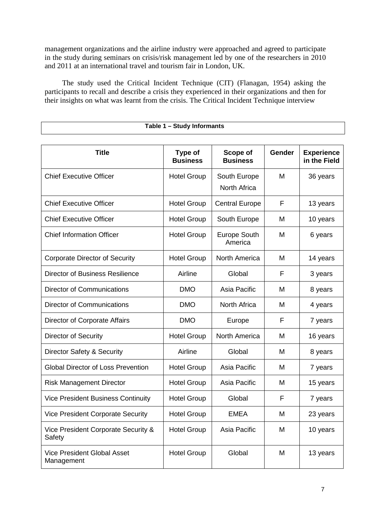management organizations and the airline industry were approached and agreed to participate in the study during seminars on crisis/risk management led by one of the researchers in 2010 and 2011 at an international travel and tourism fair in London, UK.

The study used the Critical Incident Technique (CIT) (Flanagan, 1954) asking the participants to recall and describe a crisis they experienced in their organizations and then for their insights on what was learnt from the crisis. The Critical Incident Technique interview

| <b>Title</b>                                     | <b>Type of</b><br><b>Business</b> | Scope of<br><b>Business</b>         | Gender | <b>Experience</b><br>in the Field |
|--------------------------------------------------|-----------------------------------|-------------------------------------|--------|-----------------------------------|
| <b>Chief Executive Officer</b>                   | <b>Hotel Group</b>                | South Europe<br><b>North Africa</b> | M      | 36 years                          |
| <b>Chief Executive Officer</b>                   | <b>Hotel Group</b>                | <b>Central Europe</b>               | F      | 13 years                          |
| <b>Chief Executive Officer</b>                   | <b>Hotel Group</b>                | South Europe                        | M      | 10 years                          |
| <b>Chief Information Officer</b>                 | <b>Hotel Group</b>                | <b>Europe South</b><br>America      | M      | 6 years                           |
| <b>Corporate Director of Security</b>            | <b>Hotel Group</b>                | <b>North America</b>                | M      | 14 years                          |
| <b>Director of Business Resilience</b>           | Airline                           | Global                              | F      | 3 years                           |
| <b>Director of Communications</b>                | <b>DMO</b>                        | Asia Pacific                        | M      | 8 years                           |
| <b>Director of Communications</b>                | <b>DMO</b>                        | <b>North Africa</b>                 | M      | 4 years                           |
| Director of Corporate Affairs                    | <b>DMO</b>                        | Europe                              | F      | 7 years                           |
| <b>Director of Security</b>                      | <b>Hotel Group</b>                | <b>North America</b>                | M      | 16 years                          |
| Director Safety & Security                       | Airline                           | Global                              | M      | 8 years                           |
| <b>Global Director of Loss Prevention</b>        | <b>Hotel Group</b>                | Asia Pacific                        | M      | 7 years                           |
| <b>Risk Management Director</b>                  | <b>Hotel Group</b>                | Asia Pacific                        | M      | 15 years                          |
| <b>Vice President Business Continuity</b>        | <b>Hotel Group</b>                | Global                              | F      | 7 years                           |
| <b>Vice President Corporate Security</b>         | <b>Hotel Group</b>                | <b>EMEA</b>                         | M      | 23 years                          |
| Vice President Corporate Security &<br>Safety    | <b>Hotel Group</b>                | Asia Pacific                        | M      | 10 years                          |
| <b>Vice President Global Asset</b><br>Management | <b>Hotel Group</b>                | Global                              | M      | 13 years                          |

**Table 1 – Study Informants**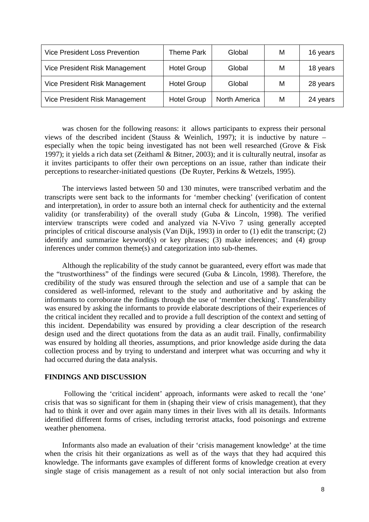| <b>Vice President Loss Prevention</b> | <b>Theme Park</b>  | Global               | м | 16 years |
|---------------------------------------|--------------------|----------------------|---|----------|
| Vice President Risk Management        | <b>Hotel Group</b> | Global               | М | 18 years |
| Vice President Risk Management        | <b>Hotel Group</b> | Global               | M | 28 years |
| Vice President Risk Management        | <b>Hotel Group</b> | <b>North America</b> | М | 24 years |

was chosen for the following reasons: it allows participants to express their personal views of the described incident (Stauss & Weinlich, 1997); it is inductive by nature – especially when the topic being investigated has not been well researched (Grove & Fisk 1997); it yields a rich data set (Zeithaml & Bitner, 2003); and it is culturally neutral, insofar as it invites participants to offer their own perceptions on an issue, rather than indicate their perceptions to researcher-initiated questions (De Ruyter, Perkins & Wetzels, 1995).

The interviews lasted between 50 and 130 minutes, were transcribed verbatim and the transcripts were sent back to the informants for 'member checking' (verification of content and interpretation), in order to assure both an internal check for authenticity and the external validity (or transferability) of the overall study (Guba & Lincoln, 1998). The verified interview transcripts were coded and analyzed via N-Vivo 7 using generally accepted principles of critical discourse analysis (Van Dijk, 1993) in order to (1) edit the transcript; (2) identify and summarize keyword(s) or key phrases; (3) make inferences; and (4) group inferences under common theme(s) and categorization into sub-themes.

Although the replicability of the study cannot be guaranteed, every effort was made that the "trustworthiness" of the findings were secured (Guba & Lincoln, 1998). Therefore, the credibility of the study was ensured through the selection and use of a sample that can be considered as well-informed, relevant to the study and authoritative and by asking the informants to corroborate the findings through the use of 'member checking'. Transferability was ensured by asking the informants to provide elaborate descriptions of their experiences of the critical incident they recalled and to provide a full description of the context and setting of this incident. Dependability was ensured by providing a clear description of the research design used and the direct quotations from the data as an audit trail. Finally, confirmability was ensured by holding all theories, assumptions, and prior knowledge aside during the data collection process and by trying to understand and interpret what was occurring and why it had occurred during the data analysis.

#### **FINDINGS AND DISCUSSION**

 Following the 'critical incident' approach, informants were asked to recall the 'one' crisis that was so significant for them in (shaping their view of crisis management), that they had to think it over and over again many times in their lives with all its details. Informants identified different forms of crises, including terrorist attacks, food poisonings and extreme weather phenomena.

Informants also made an evaluation of their 'crisis management knowledge' at the time when the crisis hit their organizations as well as of the ways that they had acquired this knowledge. The informants gave examples of different forms of knowledge creation at every single stage of crisis management as a result of not only social interaction but also from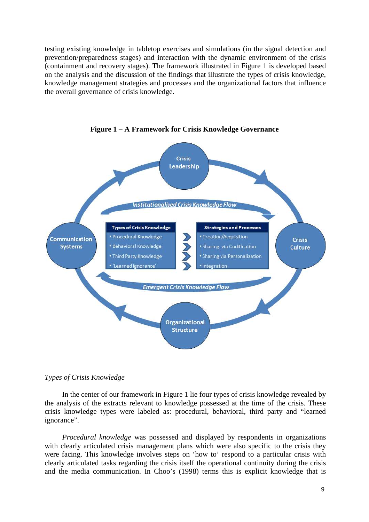testing existing knowledge in tabletop exercises and simulations (in the signal detection and prevention/preparedness stages) and interaction with the dynamic environment of the crisis (containment and recovery stages). The framework illustrated in Figure 1 is developed based on the analysis and the discussion of the findings that illustrate the types of crisis knowledge, knowledge management strategies and processes and the organizational factors that influence the overall governance of crisis knowledge.



**Figure 1 – A Framework for Crisis Knowledge Governance** 

### *Types of Crisis Knowledge*

In the center of our framework in Figure 1 lie four types of crisis knowledge revealed by the analysis of the extracts relevant to knowledge possessed at the time of the crisis. These crisis knowledge types were labeled as: procedural, behavioral, third party and "learned ignorance".

*Procedural knowledge* was possessed and displayed by respondents in organizations with clearly articulated crisis management plans which were also specific to the crisis they were facing. This knowledge involves steps on 'how to' respond to a particular crisis with clearly articulated tasks regarding the crisis itself the operational continuity during the crisis and the media communication. In Choo's (1998) terms this is explicit knowledge that is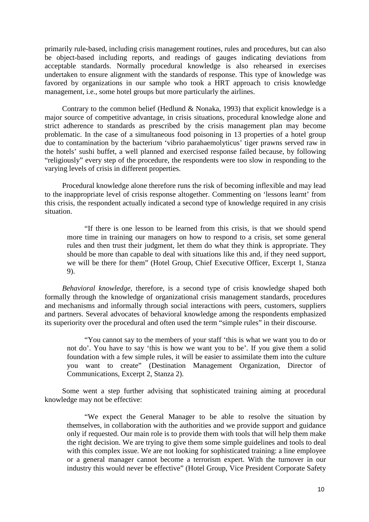primarily rule-based, including crisis management routines, rules and procedures, but can also be object-based including reports, and readings of gauges indicating deviations from acceptable standards. Normally procedural knowledge is also rehearsed in exercises undertaken to ensure alignment with the standards of response. This type of knowledge was favored by organizations in our sample who took a HRT approach to crisis knowledge management, i.e., some hotel groups but more particularly the airlines.

Contrary to the common belief (Hedlund  $& Nonaka, 1993$ ) that explicit knowledge is a major source of competitive advantage, in crisis situations, procedural knowledge alone and strict adherence to standards as prescribed by the crisis management plan may become problematic. In the case of a simultaneous food poisoning in 13 properties of a hotel group due to contamination by the bacterium 'vibrio parahaemolyticus' tiger prawns served raw in the hotels' sushi buffet, a well planned and exercised response failed because, by following "religiously" every step of the procedure, the respondents were too slow in responding to the varying levels of crisis in different properties.

Procedural knowledge alone therefore runs the risk of becoming inflexible and may lead to the inappropriate level of crisis response altogether. Commenting on 'lessons learnt' from this crisis, the respondent actually indicated a second type of knowledge required in any crisis situation.

"If there is one lesson to be learned from this crisis, is that we should spend more time in training our managers on how to respond to a crisis, set some general rules and then trust their judgment, let them do what they think is appropriate. They should be more than capable to deal with situations like this and, if they need support, we will be there for them" (Hotel Group, Chief Executive Officer, Excerpt 1, Stanza 9).

*Behavioral knowledge,* therefore, is a second type of crisis knowledge shaped both formally through the knowledge of organizational crisis management standards, procedures and mechanisms and informally through social interactions with peers, customers, suppliers and partners. Several advocates of behavioral knowledge among the respondents emphasized its superiority over the procedural and often used the term "simple rules" in their discourse.

"You cannot say to the members of your staff 'this is what we want you to do or not do'. You have to say 'this is how we want you to be'. If you give them a solid foundation with a few simple rules, it will be easier to assimilate them into the culture you want to create" (Destination Management Organization, Director of Communications, Excerpt 2, Stanza 2).

Some went a step further advising that sophisticated training aiming at procedural knowledge may not be effective:

"We expect the General Manager to be able to resolve the situation by themselves, in collaboration with the authorities and we provide support and guidance only if requested. Our main role is to provide them with tools that will help them make the right decision. We are trying to give them some simple guidelines and tools to deal with this complex issue. We are not looking for sophisticated training: a line employee or a general manager cannot become a terrorism expert. With the turnover in our industry this would never be effective" (Hotel Group, Vice President Corporate Safety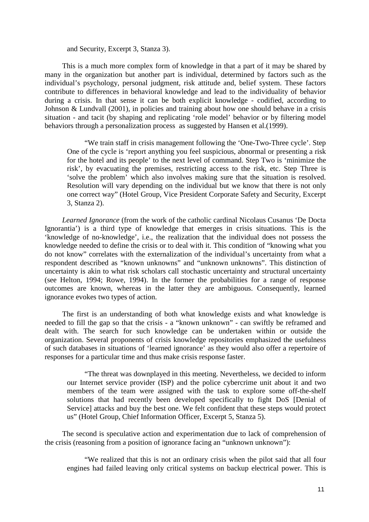and Security, Excerpt 3, Stanza 3).

This is a much more complex form of knowledge in that a part of it may be shared by many in the organization but another part is individual, determined by factors such as the individual's psychology, personal judgment, risk attitude and, belief system. These factors contribute to differences in behavioral knowledge and lead to the individuality of behavior during a crisis. In that sense it can be both explicit knowledge - codified, according to Johnson & Lundvall (2001), in policies and training about how one should behave in a crisis situation - and tacit (by shaping and replicating 'role model' behavior or by filtering model behaviors through a personalization process as suggested by Hansen et al.(1999).

"We train staff in crisis management following the 'One-Two-Three cycle'. Step One of the cycle is 'report anything you feel suspicious, abnormal or presenting a risk for the hotel and its people' to the next level of command. Step Two is 'minimize the risk', by evacuating the premises, restricting access to the risk, etc. Step Three is 'solve the problem' which also involves making sure that the situation is resolved. Resolution will vary depending on the individual but we know that there is not only one correct way" (Hotel Group, Vice President Corporate Safety and Security, Excerpt 3, Stanza 2).

*Learned Ignorance* (from the work of the catholic cardinal Nicolaus Cusanus 'De Docta Ignorantia') is a third type of knowledge that emerges in crisis situations. This is the 'knowledge of no-knowledge', i.e., the realization that the individual does not possess the knowledge needed to define the crisis or to deal with it. This condition of "knowing what you do not know" correlates with the externalization of the individual's uncertainty from what a respondent described as "known unknowns" and "unknown unknowns". This distinction of uncertainty is akin to what risk scholars call stochastic uncertainty and structural uncertainty (see Helton, 1994; Rowe, 1994). In the former the probabilities for a range of response outcomes are known, whereas in the latter they are ambiguous. Consequently, learned ignorance evokes two types of action.

The first is an understanding of both what knowledge exists and what knowledge is needed to fill the gap so that the crisis - a "known unknown" - can swiftly be reframed and dealt with. The search for such knowledge can be undertaken within or outside the organization. Several proponents of crisis knowledge repositories emphasized the usefulness of such databases in situations of 'learned ignorance' as they would also offer a repertoire of responses for a particular time and thus make crisis response faster.

"The threat was downplayed in this meeting. Nevertheless, we decided to inform our Internet service provider (ISP) and the police cybercrime unit about it and two members of the team were assigned with the task to explore some off-the-shelf solutions that had recently been developed specifically to fight DoS [Denial of Service] attacks and buy the best one. We felt confident that these steps would protect us" (Hotel Group, Chief Information Officer, Excerpt 5, Stanza 5).

The second is speculative action and experimentation due to lack of comprehension of the crisis (reasoning from a position of ignorance facing an "unknown unknown"):

"We realized that this is not an ordinary crisis when the pilot said that all four engines had failed leaving only critical systems on backup electrical power. This is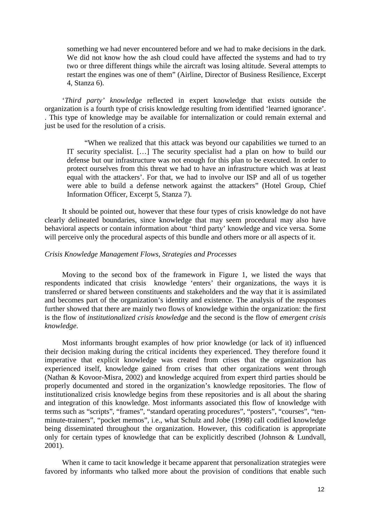something we had never encountered before and we had to make decisions in the dark. We did not know how the ash cloud could have affected the systems and had to try two or three different things while the aircraft was losing altitude. Several attempts to restart the engines was one of them" (Airline, Director of Business Resilience, Excerpt 4, Stanza 6).

'*Third party' knowledge* reflected in expert knowledge that exists outside the organization is a fourth type of crisis knowledge resulting from identified 'learned ignorance'. . This type of knowledge may be available for internalization or could remain external and just be used for the resolution of a crisis.

"When we realized that this attack was beyond our capabilities we turned to an IT security specialist. […] The security specialist had a plan on how to build our defense but our infrastructure was not enough for this plan to be executed. In order to protect ourselves from this threat we had to have an infrastructure which was at least equal with the attackers'. For that, we had to involve our ISP and all of us together were able to build a defense network against the attackers" (Hotel Group, Chief Information Officer, Excerpt 5, Stanza 7).

It should be pointed out, however that these four types of crisis knowledge do not have clearly delineated boundaries, since knowledge that may seem procedural may also have behavioral aspects or contain information about 'third party' knowledge and vice versa. Some will perceive only the procedural aspects of this bundle and others more or all aspects of it.

## *Crisis Knowledge Management Flows, Strategies and Processes*

Moving to the second box of the framework in Figure 1, we listed the ways that respondents indicated that crisis knowledge 'enters' their organizations, the ways it is transferred or shared between constituents and stakeholders and the way that it is assimilated and becomes part of the organization's identity and existence. The analysis of the responses further showed that there are mainly two flows of knowledge within the organization: the first is the flow of *institutionalized crisis knowledge* and the second is the flow of *emergent crisis knowledge*.

Most informants brought examples of how prior knowledge (or lack of it) influenced their decision making during the critical incidents they experienced. They therefore found it imperative that explicit knowledge was created from crises that the organization has experienced itself, knowledge gained from crises that other organizations went through (Nathan & Kovoor-Misra, 2002) and knowledge acquired from expert third parties should be properly documented and stored in the organization's knowledge repositories. The flow of institutionalized crisis knowledge begins from these repositories and is all about the sharing and integration of this knowledge. Most informants associated this flow of knowledge with terms such as "scripts", "frames", "standard operating procedures", "posters", "courses", "tenminute-trainers", "pocket memos", i.e., what Schulz and Jobe (1998) call codified knowledge being disseminated throughout the organization. However, this codification is appropriate only for certain types of knowledge that can be explicitly described (Johnson & Lundvall, 2001).

When it came to tacit knowledge it became apparent that personalization strategies were favored by informants who talked more about the provision of conditions that enable such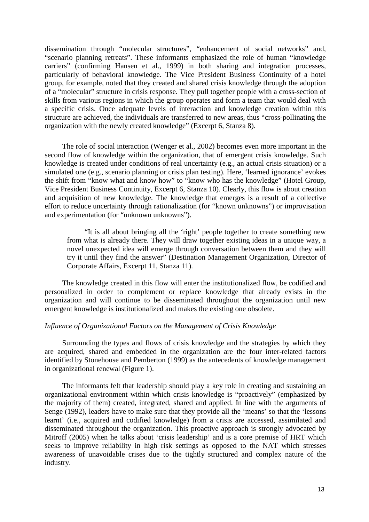dissemination through "molecular structures", "enhancement of social networks" and, "scenario planning retreats". These informants emphasized the role of human "knowledge carriers" (confirming Hansen et al., 1999) in both sharing and integration processes, particularly of behavioral knowledge. The Vice President Business Continuity of a hotel group, for example, noted that they created and shared crisis knowledge through the adoption of a "molecular" structure in crisis response. They pull together people with a cross-section of skills from various regions in which the group operates and form a team that would deal with a specific crisis. Once adequate levels of interaction and knowledge creation within this structure are achieved, the individuals are transferred to new areas, thus "cross-pollinating the organization with the newly created knowledge" (Excerpt 6, Stanza 8).

The role of social interaction (Wenger et al., 2002) becomes even more important in the second flow of knowledge within the organization, that of emergent crisis knowledge. Such knowledge is created under conditions of real uncertainty (e.g., an actual crisis situation) or a simulated one (e.g., scenario planning or crisis plan testing). Here, 'learned ignorance' evokes the shift from "know what and know how" to "know who has the knowledge" (Hotel Group, Vice President Business Continuity, Excerpt 6, Stanza 10). Clearly, this flow is about creation and acquisition of new knowledge. The knowledge that emerges is a result of a collective effort to reduce uncertainty through rationalization (for "known unknowns") or improvisation and experimentation (for "unknown unknowns").

"It is all about bringing all the 'right' people together to create something new from what is already there. They will draw together existing ideas in a unique way, a novel unexpected idea will emerge through conversation between them and they will try it until they find the answer" (Destination Management Organization, Director of Corporate Affairs, Excerpt 11, Stanza 11).

The knowledge created in this flow will enter the institutionalized flow, be codified and personalized in order to complement or replace knowledge that already exists in the organization and will continue to be disseminated throughout the organization until new emergent knowledge is institutionalized and makes the existing one obsolete.

### *Influence of Organizational Factors on the Management of Crisis Knowledge*

Surrounding the types and flows of crisis knowledge and the strategies by which they are acquired, shared and embedded in the organization are the four inter-related factors identified by Stonehouse and Pemberton (1999) as the antecedents of knowledge management in organizational renewal (Figure 1).

The informants felt that leadership should play a key role in creating and sustaining an organizational environment within which crisis knowledge is "proactively" (emphasized by the majority of them) created, integrated, shared and applied. In line with the arguments of Senge (1992), leaders have to make sure that they provide all the 'means' so that the 'lessons learnt' (i.e., acquired and codified knowledge) from a crisis are accessed, assimilated and disseminated throughout the organization. This proactive approach is strongly advocated by Mitroff (2005) when he talks about 'crisis leadership' and is a core premise of HRT which seeks to improve reliability in high risk settings as opposed to the NAT which stresses awareness of unavoidable crises due to the tightly structured and complex nature of the industry.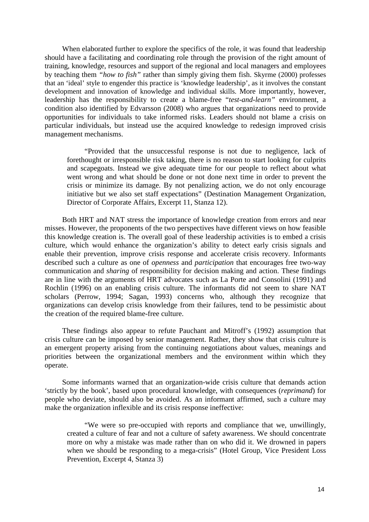When elaborated further to explore the specifics of the role, it was found that leadership should have a facilitating and coordinating role through the provision of the right amount of training, knowledge, resources and support of the regional and local managers and employees by teaching them *"how to fish"* rather than simply giving them fish. Skyrme (2000) professes that an 'ideal' style to engender this practice is 'knowledge leadership', as it involves the constant development and innovation of knowledge and individual skills. More importantly, however, leadership has the responsibility to create a blame-free "*test-and-learn"* environment, a condition also identified by Edvarsson (2008) who argues that organizations need to provide opportunities for individuals to take informed risks. Leaders should not blame a crisis on particular individuals, but instead use the acquired knowledge to redesign improved crisis management mechanisms.

"Provided that the unsuccessful response is not due to negligence, lack of forethought or irresponsible risk taking, there is no reason to start looking for culprits and scapegoats. Instead we give adequate time for our people to reflect about what went wrong and what should be done or not done next time in order to prevent the crisis or minimize its damage. By not penalizing action, we do not only encourage initiative but we also set staff expectations" (Destination Management Organization, Director of Corporate Affairs, Excerpt 11, Stanza 12).

Both HRT and NAT stress the importance of knowledge creation from errors and near misses. However, the proponents of the two perspectives have different views on how feasible this knowledge creation is. The overall goal of these leadership activities is to embed a crisis culture, which would enhance the organization's ability to detect early crisis signals and enable their prevention, improve crisis response and accelerate crisis recovery. Informants described such a culture as one of *openness* and *participation* that encourages free two-way communication and *sharing* of responsibility for decision making and action. These findings are in line with the arguments of HRT advocates such as La Porte and Consolini (1991) and Rochlin (1996) on an enabling crisis culture. The informants did not seem to share NAT scholars (Perrow, 1994; Sagan, 1993) concerns who, although they recognize that organizations can develop crisis knowledge from their failures, tend to be pessimistic about the creation of the required blame-free culture.

These findings also appear to refute Pauchant and Mitroff's (1992) assumption that crisis culture can be imposed by senior management. Rather, they show that crisis culture is an emergent property arising from the continuing negotiations about values, meanings and priorities between the organizational members and the environment within which they operate.

Some informants warned that an organization-wide crisis culture that demands action 'strictly by the book', based upon procedural knowledge, with consequences (*reprimand*) for people who deviate, should also be avoided. As an informant affirmed, such a culture may make the organization inflexible and its crisis response ineffective:

"We were so pre-occupied with reports and compliance that we, unwillingly, created a culture of fear and not a culture of safety awareness. We should concentrate more on why a mistake was made rather than on who did it. We drowned in papers when we should be responding to a mega-crisis" (Hotel Group, Vice President Loss Prevention, Excerpt 4, Stanza 3)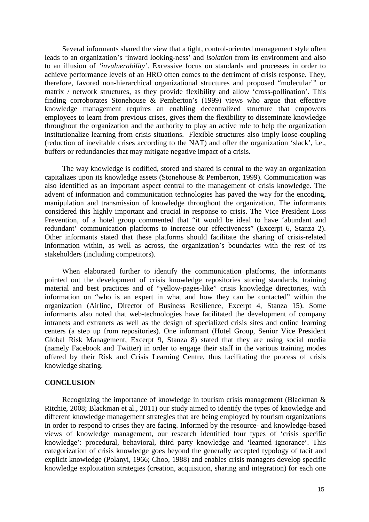Several informants shared the view that a tight, control-oriented management style often leads to an organization's 'inward looking-ness' and *isolation* from its environment and also to an illusion of *'invulnerability'*. Excessive focus on standards and processes in order to achieve performance levels of an HRO often comes to the detriment of crisis response. They, therefore, favored non-hierarchical organizational structures and proposed "molecular'" or matrix / network structures, as they provide flexibility and allow 'cross-pollination'. This finding corroborates Stonehouse & Pemberton's (1999) views who argue that effective knowledge management requires an enabling decentralized structure that empowers employees to learn from previous crises, gives them the flexibility to disseminate knowledge throughout the organization and the authority to play an active role to help the organization institutionalize learning from crisis situations. Flexible structures also imply loose-coupling (reduction of inevitable crises according to the NAT) and offer the organization 'slack', i.e., buffers or redundancies that may mitigate negative impact of a crisis.

The way knowledge is codified, stored and shared is central to the way an organization capitalizes upon its knowledge assets (Stonehouse & Pemberton, 1999). Communication was also identified as an important aspect central to the management of crisis knowledge. The advent of information and communication technologies has paved the way for the encoding, manipulation and transmission of knowledge throughout the organization. The informants considered this highly important and crucial in response to crisis. The Vice President Loss Prevention, of a hotel group commented that "it would be ideal to have 'abundant and redundant' communication platforms to increase our effectiveness" (Excerpt 6, Stanza 2). Other informants stated that these platforms should facilitate the sharing of crisis-related information within, as well as across, the organization's boundaries with the rest of its stakeholders (including competitors).

When elaborated further to identify the communication platforms, the informants pointed out the development of crisis knowledge repositories storing standards, training material and best practices and of "yellow-pages-like" crisis knowledge directories, with information on "who is an expert in what and how they can be contacted" within the organization (Airline, Director of Business Resilience, Excerpt 4, Stanza 15). Some informants also noted that web-technologies have facilitated the development of company intranets and extranets as well as the design of specialized crisis sites and online learning centers (a step up from repositories). One informant (Hotel Group, Senior Vice President Global Risk Management, Excerpt 9, Stanza 8) stated that they are using social media (namely Facebook and Twitter) in order to engage their staff in the various training modes offered by their Risk and Crisis Learning Centre, thus facilitating the process of crisis knowledge sharing.

#### **CONCLUSION**

Recognizing the importance of knowledge in tourism crisis management (Blackman & Ritchie, 2008; Blackman et al., 2011) our study aimed to identify the types of knowledge and different knowledge management strategies that are being employed by tourism organizations in order to respond to crises they are facing. Informed by the resource- and knowledge-based views of knowledge management, our research identified four types of 'crisis specific knowledge': procedural, behavioral, third party knowledge and 'learned ignorance'. This categorization of crisis knowledge goes beyond the generally accepted typology of tacit and explicit knowledge (Polanyi, 1966; Choo, 1988) and enables crisis managers develop specific knowledge exploitation strategies (creation, acquisition, sharing and integration) for each one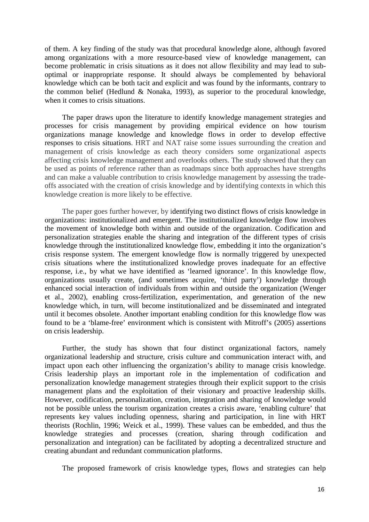of them. A key finding of the study was that procedural knowledge alone, although favored among organizations with a more resource-based view of knowledge management, can become problematic in crisis situations as it does not allow flexibility and may lead to suboptimal or inappropriate response. It should always be complemented by behavioral knowledge which can be both tacit and explicit and was found by the informants, contrary to the common belief (Hedlund & Nonaka, 1993), as superior to the procedural knowledge, when it comes to crisis situations.

The paper draws upon the literature to identify knowledge management strategies and processes for crisis management by providing empirical evidence on how tourism organizations manage knowledge and knowledge flows in order to develop effective responses to crisis situations. HRT and NAT raise some issues surrounding the creation and management of crisis knowledge as each theory considers some organizational aspects affecting crisis knowledge management and overlooks others. The study showed that they can be used as points of reference rather than as roadmaps since both approaches have strengths and can make a valuable contribution to crisis knowledge management by assessing the tradeoffs associated with the creation of crisis knowledge and by identifying contexts in which this knowledge creation is more likely to be effective.

The paper goes further however, by identifying two distinct flows of crisis knowledge in organizations: institutionalized and emergent. The institutionalized knowledge flow involves the movement of knowledge both within and outside of the organization. Codification and personalization strategies enable the sharing and integration of the different types of crisis knowledge through the institutionalized knowledge flow, embedding it into the organization's crisis response system. The emergent knowledge flow is normally triggered by unexpected crisis situations where the institutionalized knowledge proves inadequate for an effective response, i.e., by what we have identified as 'learned ignorance'. In this knowledge flow, organizations usually create, (and sometimes acquire, 'third party') knowledge through enhanced social interaction of individuals from within and outside the organization (Wenger et al., 2002), enabling cross-fertilization, experimentation, and generation of the new knowledge which, in turn, will become institutionalized and be disseminated and integrated until it becomes obsolete. Another important enabling condition for this knowledge flow was found to be a 'blame-free' environment which is consistent with Mitroff's (2005) assertions on crisis leadership.

Further, the study has shown that four distinct organizational factors, namely organizational leadership and structure, crisis culture and communication interact with, and impact upon each other influencing the organization's ability to manage crisis knowledge. Crisis leadership plays an important role in the implementation of codification and personalization knowledge management strategies through their explicit support to the crisis management plans and the exploitation of their visionary and proactive leadership skills. However, codification, personalization, creation, integration and sharing of knowledge would not be possible unless the tourism organization creates a crisis aware, 'enabling culture' that represents key values including openness, sharing and participation, in line with HRT theorists (Rochlin, 1996; Weick et al., 1999). These values can be embedded, and thus the knowledge strategies and processes (creation, sharing through codification and personalization and integration) can be facilitated by adopting a decentralized structure and creating abundant and redundant communication platforms.

The proposed framework of crisis knowledge types, flows and strategies can help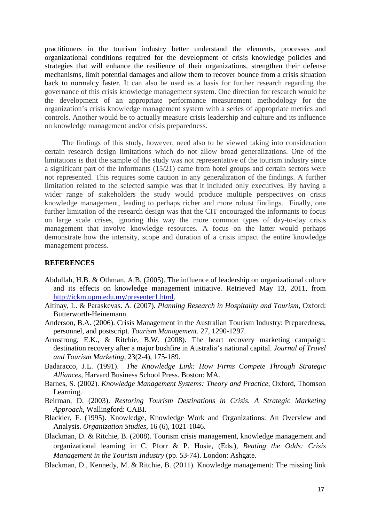practitioners in the tourism industry better understand the elements, processes and organizational conditions required for the development of crisis knowledge policies and strategies that will enhance the resilience of their organizations, strengthen their defense mechanisms, limit potential damages and allow them to recover bounce from a crisis situation back to normalcy faster. It can also be used as a basis for further research regarding the governance of this crisis knowledge management system. One direction for research would be the development of an appropriate performance measurement methodology for the organization's crisis knowledge management system with a series of appropriate metrics and controls. Another would be to actually measure crisis leadership and culture and its influence on knowledge management and/or crisis preparedness.

The findings of this study, however, need also to be viewed taking into consideration certain research design limitations which do not allow broad generalizations. One of the limitations is that the sample of the study was not representative of the tourism industry since a significant part of the informants (15/21) came from hotel groups and certain sectors were not represented. This requires some caution in any generalization of the findings. A further limitation related to the selected sample was that it included only executives. By having a wider range of stakeholders the study would produce multiple perspectives on crisis knowledge management, leading to perhaps richer and more robust findings. Finally, one further limitation of the research design was that the CIT encouraged the informants to focus on large scale crises, ignoring this way the more common types of day-to-day crisis management that involve knowledge resources. A focus on the latter would perhaps demonstrate how the intensity, scope and duration of a crisis impact the entire knowledge management process.

# **REFERENCES**

- Abdullah, H.B. & Othman, A.B. (2005). The influence of leadership on organizational culture and its effects on knowledge management initiative. Retrieved May 13, 2011, from http://ickm.upm.edu.my/presenter1.html.
- Altinay, L. & Paraskevas. A. (2007). *Planning Research in Hospitality and Tourism*, Oxford: Butterworth-Heinemann.
- Anderson, B.A. (2006). Crisis Management in the Australian Tourism Industry: Preparedness, personnel, and postscript. *Tourism Management*. 27, 1290-1297.
- Armstrong, E.K., & Ritchie, B.W. (2008). The heart recovery marketing campaign: destination recovery after a major bushfire in Australia's national capital. *Journal of Travel and Tourism Marketing*, 23(2-4), 175-189.
- Badaracco, J.L. (1991). *The Knowledge Link: How Firms Compete Through Strategic Alliances*, Harvard Business School Press. Boston: MA.
- Barnes, S. (2002). *Knowledge Management Systems: Theory and Practice*, Oxford, Thomson Learning.
- Beirman, D. (2003). *Restoring Tourism Destinations in Crisis. A Strategic Marketing Approach*, Wallingford: CABI.
- Blackler, F. (1995). Knowledge, Knowledge Work and Organizations: An Overview and Analysis. *Organization Studies*, 16 (6), 1021-1046.
- Blackman, D. & Ritchie, B. (2008). Tourism crisis management, knowledge management and organizational learning in C. Pforr & P. Hosie, (Eds.), *Beating the Odds: Crisis Management in the Tourism Industry* (pp. 53-74). London: Ashgate.
- Blackman, D., Kennedy, M. & Ritchie, B. (2011). Knowledge management: The missing link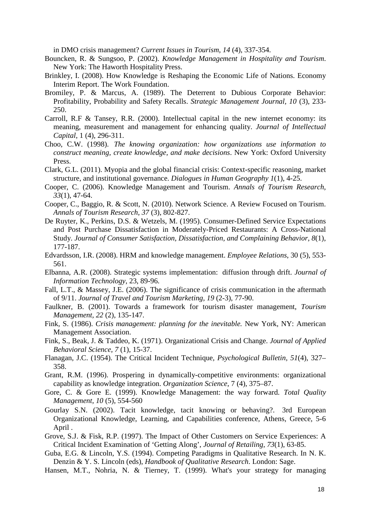in DMO crisis management? *Current Issues in Tourism*, *14* (4), 337-354.

- Bouncken, R. & Sungsoo, P. (2002). *Knowledge Management in Hospitality and Tourism*. New York: The Haworth Hospitality Press.
- Brinkley, I. (2008). How Knowledge is Reshaping the Economic Life of Nations. Economy Interim Report. The Work Foundation.
- Bromiley, P. & Marcus, A. (1989). The Deterrent to Dubious Corporate Behavior: Profitability, Probability and Safety Recalls. *Strategic Management Journal, 10* (3), 233- 250.
- Carroll, R.F & Tansey, R.R. (2000). Intellectual capital in the new internet economy: its meaning, measurement and management for enhancing quality. *Journal of Intellectual Capital*, 1 (4), 296-311.
- Choo, C.W. (1998). *The knowing organization: how organizations use information to construct meaning, create knowledge, and make decisions*. New York: Oxford University Press.
- Clark, G.L. (2011). Myopia and the global financial crisis: Context-specific reasoning, market structure, and institutional governance. *Dialogues in Human Geography 1*(1), 4-25.
- Cooper, C. (2006). Knowledge Management and Tourism. *Annals of Tourism Research*, *33*(1), 47-64.
- Cooper, C., Baggio, R. & Scott, N. (2010). Network Science. A Review Focused on Tourism. *Annals of Tourism Research*, *37* (3), 802-827.
- De Ruyter, K., Perkins, D.S. & Wetzels, M. (1995). Consumer-Defined Service Expectations and Post Purchase Dissatisfaction in Moderately-Priced Restaurants: A Cross-National Study. *Journal of Consumer Satisfaction, Dissatisfaction, and Complaining Behavior, 8*(1), 177-187.
- Edvardsson, I.R. (2008). HRM and knowledge management. *Employee Relations*, 30 (5), 553- 561.
- Elbanna, A.R. (2008). Strategic systems implementation: diffusion through drift. *Journal of Information Technology*, 23, 89-96.
- Fall, L.T., & Massey, J.E. (2006). The significance of crisis communication in the aftermath of 9/11. *Journal of Travel and Tourism Marketing, 19* (2-3), 77-90.
- Faulkner, B. (2001). Towards a framework for tourism disaster management, *Tourism Management, 22* (2), 135-147.
- Fink, S. (1986). *Crisis management: planning for the inevitable.* New York, NY: American Management Association.
- Fink, S., Beak, J. & Taddeo, K. (1971). Organizational Crisis and Change. *Journal of Applied Behavioral Science, 7* (1), 15-37.
- Flanagan, J.C. (1954). The Critical Incident Technique, *Psychological Bulletin, 51*(4), 327– 358.
- Grant, R.M. (1996). Prospering in dynamically-competitive environments: organizational capability as knowledge integration. *Organization Science*, 7 (4), 375–87.
- Gore, C. & Gore E. (1999). Knowledge Management: the way forward. *Total Quality Management*, *10* (5), 554-560
- Gourlay S.N. (2002). Tacit knowledge, tacit knowing or behaving?. 3rd European Organizational Knowledge, Learning, and Capabilities conference, Athens, Greece, 5-6 April .
- Grove, S.J. & Fisk, R.P. (1997). The Impact of Other Customers on Service Experiences: A Critical Incident Examination of 'Getting Along', *Journal of Retailing, 73*(1), 63-85.
- Guba, E.G. & Lincoln, Y.S. (1994). Competing Paradigms in Qualitative Research. In N. K. Denzin & Y. S. Lincoln (eds), *Handbook of Qualitative Research*. London: Sage.
- Hansen, M.T., Nohria, N. & Tierney, T. (1999). What's your strategy for managing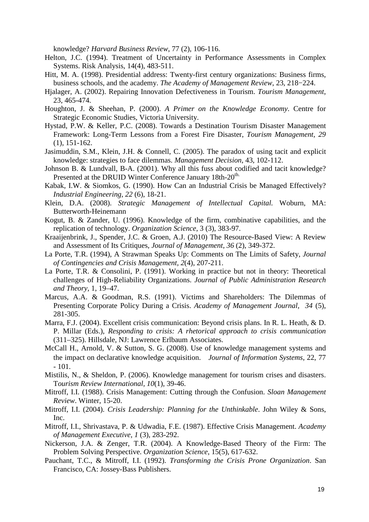knowledge? *Harvard Business Review*, 77 (2), 106-116.

- Helton, J.C. (1994). Treatment of Uncertainty in Performance Assessments in Complex Systems. Risk Analysis, 14(4), 483-511.
- Hitt, M. A. (1998). Presidential address: Twenty-first century organizations: Business firms, business schools, and the academy. *The Academy of Management Review*, 23, 218−224.
- Hjalager, A. (2002). Repairing Innovation Defectiveness in Tourism. *Tourism Management*, 23, 465-474.
- Houghton, J. & Sheehan, P. (2000). *A Primer on the Knowledge Economy*. Centre for Strategic Economic Studies, Victoria University.
- Hystad, P.W. & Keller, P.C. (2008). Towards a Destination Tourism Disaster Management Framework: Long-Term Lessons from a Forest Fire Disaster, *Tourism Management, 29* (1), 151-162.
- Jasimuddin, S.M., Klein, J.H. & Connell, C. (2005). The paradox of using tacit and explicit knowledge: strategies to face dilemmas. *Management Decision*, 43, 102-112.
- Johnson B. & Lundvall, B-A. (2001). Why all this fuss about codified and tacit knowledge? Presented at the DRUID Winter Conference January 18th-20<sup>th.</sup>
- Kabak, I.W. & Siomkos, G. (1990). How Can an Industrial Crisis be Managed Effectively? *Industrial Engineering, 22* (6), 18-21.
- Klein, D.A. (2008). *Strategic Management of Intellectual Capital.* Woburn, MA: Butterworth-Heinemann
- Kogut, B. & Zander, U. (1996). Knowledge of the firm, combinative capabilities, and the replication of technology. *Organization Science*, 3 (3), 383-97.
- Kraaijenbrink, J., Spender, J.C. & Groen, A.J. (2010) The Resource-Based View: A Review and Assessment of Its Critiques, *Journal of Management, 36* (2), 349-372.
- La Porte, T.R. (1994), A Strawman Speaks Up: Comments on The Limits of Safety, *Journal of Contingencies and Crisis Management, 2*(4), 207-211.
- La Porte, T.R. & Consolini, P. (1991). Working in practice but not in theory: Theoretical challenges of High-Reliability Organizations. *Journal of Public Administration Research and Theory,* 1, 19–47.
- Marcus, A.A. & Goodman, R.S. (1991). Victims and Shareholders: The Dilemmas of Presenting Corporate Policy During a Crisis. *Academy of Management Journal, 34* (5), 281-305.
- Marra, F.J. (2004). Excellent crisis communication: Beyond crisis plans. In R. L. Heath, & D. P. Millar (Eds.), *Responding to crisis: A rhetorical approach to crisis communication* (311–325). Hillsdale, NJ: Lawrence Erlbaum Associates.
- McCall H., Arnold, V. & Sutton, S. G. (2008). Use of knowledge management systems and the impact on declarative knowledge acquisition. *Journal of Information Systems*, 22, 77 - 101.
- Mistilis, N., & Sheldon, P. (2006). Knowledge management for tourism crises and disasters. T*ourism Review International, 10*(1), 39-46.
- Mitroff, I.I. (1988). Crisis Management: Cutting through the Confusion. *Sloan Management Review*. Winter, 15-20.
- Mitroff, I.I. (2004). *Crisis Leadership: Planning for the Unthinkable*. John Wiley & Sons, Inc.
- Mitroff, I.I., Shrivastava, P. & Udwadia, F.E. (1987). Effective Crisis Management. *Academy of Management Executive, 1* (3), 283-292.
- Nickerson, J.A. & Zenger, T.R. (2004). A Knowledge-Based Theory of the Firm: The Problem Solving Perspective. *Organization Science*, 15(5), 617-632.
- Pauchant, T.C., & Mitroff, I.I. (1992). *Transforming the Crisis Prone Organization*. San Francisco, CA: Jossey-Bass Publishers.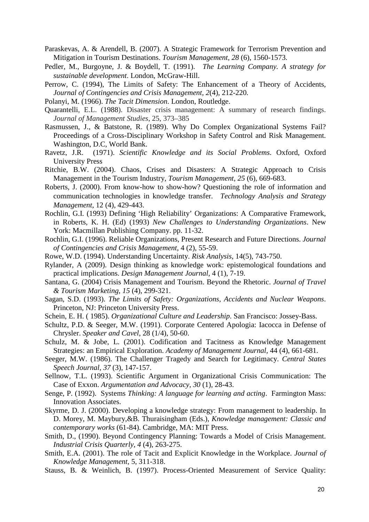- Paraskevas, A. & Arendell, B. (2007). A Strategic Framework for Terrorism Prevention and Mitigation in Tourism Destinations. *Tourism Management*, *28* (6), 1560-1573.
- Pedler, M., Burgoyne, J. & Boydell, T. (1991). *The Learning Company. A strategy for sustainable development*. London, McGraw-Hill.
- Perrow, C. (1994), The Limits of Safety: The Enhancement of a Theory of Accidents, *Journal of Contingencies and Crisis Management, 2*(4), 212-220.
- Polanyi, M. (1966). *The Tacit Dimension*. London, Routledge.
- Quarantelli, E.L. (1988). Disaster crisis management: A summary of research findings. *Journal of Management Studies*, 25, 373–385
- Rasmussen, J., & Batstone, R. (1989). Why Do Complex Organizational Systems Fail? Proceedings of a Cross-Disciplinary Workshop in Safety Control and Risk Management. Washington, D.C, World Bank.
- Ravetz, J.R. (1971). *Scientific Knowledge and its Social Problems*. Oxford, Oxford University Press
- Ritchie, B.W. (2004). Chaos, Crises and Disasters: A Strategic Approach to Crisis Management in the Tourism Industry, *Tourism Management, 25* (6), 669-683.
- Roberts, J. (2000). From know-how to show-how? Questioning the role of information and communication technologies in knowledge transfer. *Technology Analysis and Strategy Management*, 12 (4), 429-443.
- Rochlin, G.I. (1993) Defining 'High Reliability' Organizations: A Comparative Framework, in Roberts, K. H. (Ed) (1993) *New Challenges to Understanding Organizations*. New York: Macmillan Publishing Company. pp. 11-32.
- Rochlin, G.I. (1996). Reliable Organizations, Present Research and Future Directions. *Journal of Contingencies and Crisis Management*, 4 (2), 55-59.
- Rowe, W.D. (1994). Understanding Uncertainty. *Risk Analysis*, 14(5), 743-750.
- Rylander, A (2009). Design thinking as knowledge work: epistemological foundations and practical implications. *Design Management Journal*, 4 (1), 7-19.
- Santana, G. (2004) Crisis Management and Tourism. Beyond the Rhetoric. *Journal of Travel & Tourism Marketing, 15* (4), 299-321.
- Sagan, S.D. (1993). *The Limits of Safety: Organizations, Accidents and Nuclear Weapons*. Princeton, NJ: Princeton University Press.
- Schein, E. H. ( 1985). *Organizational Culture and Leadership*. San Francisco: Jossey-Bass.
- Schultz, P.D. & Seeger, M.W. (1991). Corporate Centered Apologia: Iacocca in Defense of Chrysler. *Speaker and Cavel,* 28 (1/4), 50-60.
- Schulz, M. & Jobe, L. (2001). Codification and Tacitness as Knowledge Management Strategies: an Empirical Exploration. *Academy of Management Journal,* 44 (4), 661-681.
- Seeger, M.W. (1986). The Challenger Tragedy and Search for Legitimacy. *Central States Speech Journal, 37* (3), 147-157.
- Sellnow, T.L. (1993). Scientific Argument in Organizational Crisis Communication: The Case of Exxon. *Argumentation and Advocacy, 30* (1), 28-43.
- Senge, P. (1992). Systems *Thinking: A language for learning and acting*. Farmington Mass: Innovation Associates.
- Skyrme, D. J. (2000). Developing a knowledge strategy: From management to leadership. In D. Morey, M. Maybury,&B. Thuraisingham (Eds.), *Knowledge management: Classic and contemporary works* (61-84). Cambridge, MA: MIT Press.
- Smith, D., (1990). Beyond Contingency Planning: Towards a Model of Crisis Management. *Industrial Crisis Quarterly, 4* (4), 263-275.
- Smith, E.A. (2001). The role of Tacit and Explicit Knowledge in the Workplace. *Journal of Knowledge Management*, 5, 311-318.
- Stauss, B. & Weinlich, B. (1997). Process-Oriented Measurement of Service Quality: